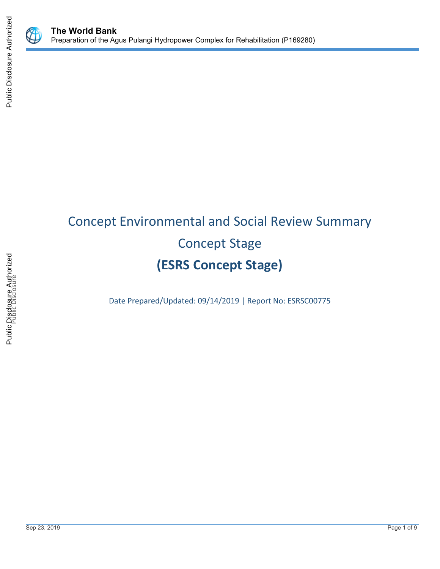

# Concept Environmental and Social Review Summary Concept Stage **(ESRS Concept Stage)**

Date Prepared/Updated: 09/14/2019 | Report No: ESRSC00775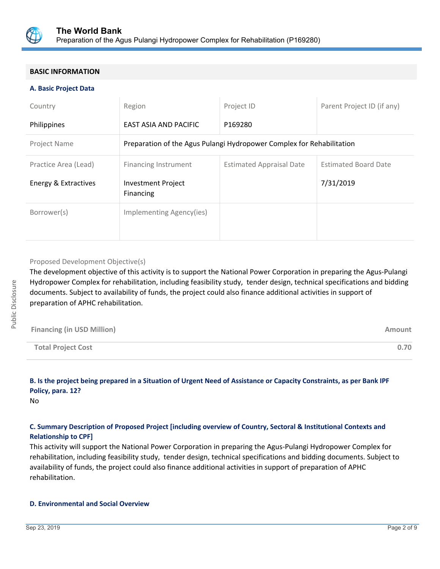

# **BASIC INFORMATION**

#### **A. Basic Project Data**

| Country              | Region                                                                | Project ID                      | Parent Project ID (if any)  |
|----------------------|-----------------------------------------------------------------------|---------------------------------|-----------------------------|
| Philippines          | EAST ASIA AND PACIFIC                                                 | P169280                         |                             |
| Project Name         | Preparation of the Agus Pulangi Hydropower Complex for Rehabilitation |                                 |                             |
| Practice Area (Lead) | Financing Instrument                                                  | <b>Estimated Appraisal Date</b> | <b>Estimated Board Date</b> |
| Energy & Extractives | <b>Investment Project</b><br>Financing                                |                                 | 7/31/2019                   |
| Borrower(s)          | Implementing Agency(ies)                                              |                                 |                             |

#### Proposed Development Objective(s)

The development objective of this activity is to support the National Power Corporation in preparing the Agus-Pulangi Hydropower Complex for rehabilitation, including feasibility study, tender design, technical specifications and bidding documents. Subject to availability of funds, the project could also finance additional activities in support of preparation of APHC rehabilitation.

| <b>Financing (in USD Million)</b> | Amount |
|-----------------------------------|--------|
| <b>Total Project Cost</b>         | 0.70   |

# **B. Is the project being prepared in a Situation of Urgent Need of Assistance or Capacity Constraints, as per Bank IPF Policy, para. 12?**

No

# **C. Summary Description of Proposed Project [including overview of Country, Sectoral & Institutional Contexts and Relationship to CPF]**

This activity will support the National Power Corporation in preparing the Agus-Pulangi Hydropower Complex for rehabilitation, including feasibility study, tender design, technical specifications and bidding documents. Subject to availability of funds, the project could also finance additional activities in support of preparation of APHC rehabilitation.

#### **D. Environmental and Social Overview**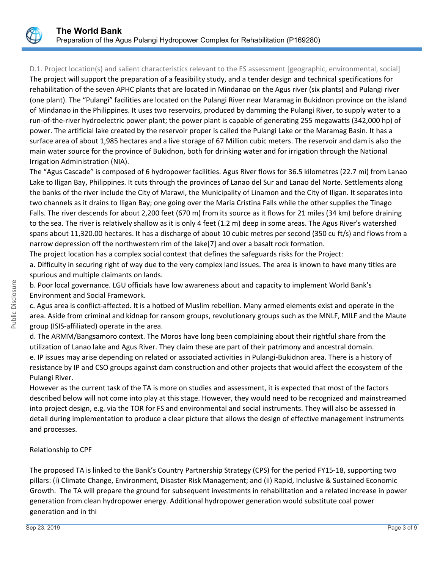

D.1. Project location(s) and salient characteristics relevant to the ES assessment [geographic, environmental, social] The project will support the preparation of a feasibility study, and a tender design and technical specifications for rehabilitation of the seven APHC plants that are located in Mindanao on the Agus river (six plants) and Pulangi river (one plant). The "Pulangi" facilities are located on the Pulangi River near Maramag in Bukidnon province on the island of Mindanao in the Philippines. It uses two reservoirs, produced by damming the Pulangi River, to supply water to a run-of-the-river hydroelectric power plant; the power plant is capable of generating 255 megawatts (342,000 hp) of power. The artificial lake created by the reservoir proper is called the Pulangi Lake or the Maramag Basin. It has a surface area of about 1,985 hectares and a live storage of 67 Million cubic meters. The reservoir and dam is also the main water source for the province of Bukidnon, both for drinking water and for irrigation through the National Irrigation Administration (NIA).

The "Agus Cascade" is composed of 6 hydropower facilities. Agus River flows for 36.5 kilometres (22.7 mi) from Lanao Lake to Iligan Bay, Philippines. It cuts through the provinces of Lanao del Sur and Lanao del Norte. Settlements along the banks of the river include the City of Marawi, the Municipality of Linamon and the City of Iligan. It separates into two channels as it drains to Iligan Bay; one going over the Maria Cristina Falls while the other supplies the Tinago Falls. The river descends for about 2,200 feet (670 m) from its source as it flows for 21 miles (34 km) before draining to the sea. The river is relatively shallow as it is only 4 feet (1.2 m) deep in some areas. The Agus River's watershed spans about 11,320.00 hectares. It has a discharge of about 10 cubic metres per second (350 cu ft/s) and flows from a narrow depression off the northwestern rim of the lake[7] and over a basalt rock formation.

The project location has a complex social context that defines the safeguards risks for the Project: a. Difficulty in securing right of way due to the very complex land issues. The area is known to have many titles are spurious and multiple claimants on lands.

b. Poor local governance. LGU officials have low awareness about and capacity to implement World Bank's Environment and Social Framework.

c. Agus area is conflict-affected. It is a hotbed of Muslim rebellion. Many armed elements exist and operate in the area. Aside from criminal and kidnap for ransom groups, revolutionary groups such as the MNLF, MILF and the Maute group (ISIS-affiliated) operate in the area.

d. The ARMM/Bangsamoro context. The Moros have long been complaining about their rightful share from the utilization of Lanao lake and Agus River. They claim these are part of their patrimony and ancestral domain. e. IP issues may arise depending on related or associated activities in Pulangi-Bukidnon area. There is a history of resistance by IP and CSO groups against dam construction and other projects that would affect the ecosystem of the Pulangi River.

However as the current task of the TA is more on studies and assessment, it is expected that most of the factors described below will not come into play at this stage. However, they would need to be recognized and mainstreamed into project design, e.g. via the TOR for FS and environmental and social instruments. They will also be assessed in detail during implementation to produce a clear picture that allows the design of effective management instruments and processes.

### Relationship to CPF

The proposed TA is linked to the Bank's Country Partnership Strategy (CPS) for the period FY15-18, supporting two pillars: (i) Climate Change, Environment, Disaster Risk Management; and (ii) Rapid, Inclusive & Sustained Economic Growth. The TA will prepare the ground for subsequent investments in rehabilitation and a related increase in power generation from clean hydropower energy. Additional hydropower generation would substitute coal power generation and in thi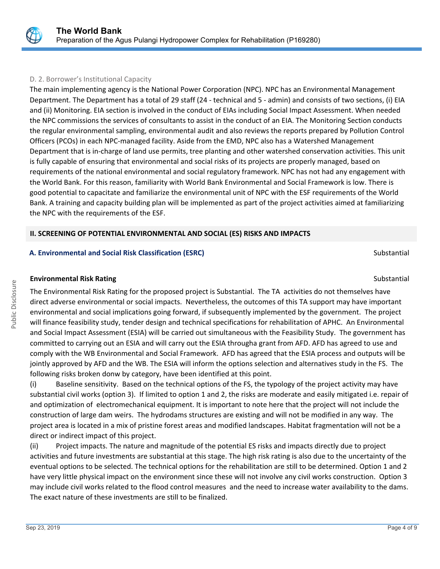

## D. 2. Borrower's Institutional Capacity

The main implementing agency is the National Power Corporation (NPC). NPC has an Environmental Management Department. The Department has a total of 29 staff (24 - technical and 5 - admin) and consists of two sections, (i) EIA and (ii) Monitoring. EIA section is involved in the conduct of EIAs including Social Impact Assessment. When needed the NPC commissions the services of consultants to assist in the conduct of an EIA. The Monitoring Section conducts the regular environmental sampling, environmental audit and also reviews the reports prepared by Pollution Control Officers (PCOs) in each NPC-managed facility. Aside from the EMD, NPC also has a Watershed Management Department that is in-charge of land use permits, tree planting and other watershed conservation activities. This unit is fully capable of ensuring that environmental and social risks of its projects are properly managed, based on requirements of the national environmental and social regulatory framework. NPC has not had any engagement with the World Bank. For this reason, familiarity with World Bank Environmental and Social Framework is low. There is good potential to capacitate and familiarize the environmental unit of NPC with the ESF requirements of the World Bank. A training and capacity building plan will be implemented as part of the project activities aimed at familiarizing the NPC with the requirements of the ESF.

# **II. SCREENING OF POTENTIAL ENVIRONMENTAL AND SOCIAL (ES) RISKS AND IMPACTS**

# **A. Environmental and Social Risk Classification (ESRC) Substantial Substantial Substantial Substantial Substantial**

### **Environmental Risk Rating Substantial Substantial Substantial Substantial Substantial Substantial Substantial Substantial Substantial Substantial Substantial Substantial Substantial Substantial Substantial Substantial Sub**

The Environmental Risk Rating for the proposed project is Substantial. The TA activities do not themselves have direct adverse environmental or social impacts. Nevertheless, the outcomes of this TA support may have important environmental and social implications going forward, if subsequently implemented by the government. The project will finance feasibility study, tender design and technical specifications for rehabilitation of APHC. An Environmental and Social Impact Assessment (ESIA) will be carried out simultaneous with the Feasibility Study. The government has committed to carrying out an ESIA and will carry out the ESIA througha grant from AFD. AFD has agreed to use and comply with the WB Environmental and Social Framework. AFD has agreed that the ESIA process and outputs will be jointly approved by AFD and the WB. The ESIA will inform the options selection and alternatives study in the FS. The following risks broken donw by category, have been identified at this point.

(i) Baseline sensitivity. Based on the technical options of the FS, the typology of the project activity may have substantial civil works (option 3). If limited to option 1 and 2, the risks are moderate and easily mitigated i.e. repair of and optimization of electromechanical equipment. It is important to note here that the project will not include the construction of large dam weirs. The hydrodams structures are existing and will not be modified in any way. The project area is located in a mix of pristine forest areas and modified landscapes. Habitat fragmentation will not be a direct or indirect impact of this project.

(ii) Project impacts. The nature and magnitude of the potential ES risks and impacts directly due to project activities and future investments are substantial at this stage. The high risk rating is also due to the uncertainty of the eventual options to be selected. The technical options for the rehabilitation are still to be determined. Option 1 and 2 have very little physical impact on the environment since these will not involve any civil works construction. Option 3 may include civil works related to the flood control measures and the need to increase water availability to the dams. The exact nature of these investments are still to be finalized.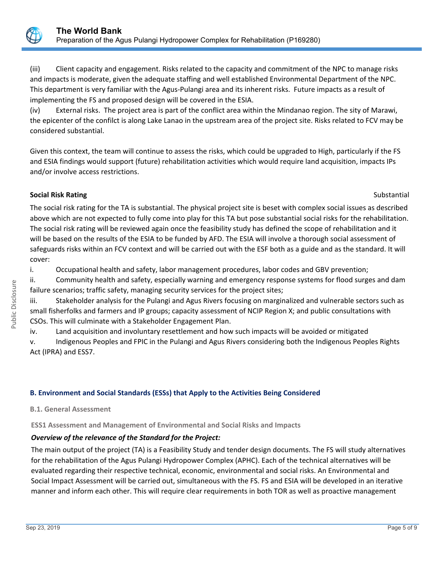

(iii) Client capacity and engagement. Risks related to the capacity and commitment of the NPC to manage risks and impacts is moderate, given the adequate staffing and well established Environmental Department of the NPC. This department is very familiar with the Agus-Pulangi area and its inherent risks. Future impacts as a result of implementing the FS and proposed design will be covered in the ESIA.

(iv) External risks. The project area is part of the conflict area within the Mindanao region. The sity of Marawi, the epicenter of the confilct is along Lake Lanao in the upstream area of the project site. Risks related to FCV may be considered substantial.

Given this context, the team will continue to assess the risks, which could be upgraded to High, particularly if the FS and ESIA findings would support (future) rehabilitation activities which would require land acquisition, impacts IPs and/or involve access restrictions.

# **Social Risk Rating Substantial Risk Rating Substantial Risk Rating Substantial Risk Rating Substantial Risk Rating Substantial Risk Rating Substantial Risk Rating Substantial Risk Rating Substantial Risk Rating Substantia**

The social risk rating for the TA is substantial. The physical project site is beset with complex social issues as described above which are not expected to fully come into play for this TA but pose substantial social risks for the rehabilitation. The social risk rating will be reviewed again once the feasibility study has defined the scope of rehabilitation and it will be based on the results of the ESIA to be funded by AFD. The ESIA will involve a thorough social assessment of safeguards risks within an FCV context and will be carried out with the ESF both as a guide and as the standard. It will cover:

i. Occupational health and safety, labor management procedures, labor codes and GBV prevention;

ii. Community health and safety, especially warning and emergency response systems for flood surges and dam failure scenarios; traffic safety, managing security services for the project sites;

iii. Stakeholder analysis for the Pulangi and Agus Rivers focusing on marginalized and vulnerable sectors such as small fisherfolks and farmers and IP groups; capacity assessment of NCIP Region X; and public consultations with CSOs. This will culminate with a Stakeholder Engagement Plan.

iv. Land acquisition and involuntary resettlement and how such impacts will be avoided or mitigated

v. Indigenous Peoples and FPIC in the Pulangi and Agus Rivers considering both the Indigenous Peoples Rights Act (IPRA) and ESS7.

# **B. Environment and Social Standards (ESSs) that Apply to the Activities Being Considered**

**B.1. General Assessment**

**ESS1 Assessment and Management of Environmental and Social Risks and Impacts**

# *Overview of the relevance of the Standard for the Project:*

The main output of the project (TA) is a Feasibility Study and tender design documents. The FS will study alternatives for the rehabilitation of the Agus Pulangi Hydropower Complex (APHC). Each of the technical alternatives will be evaluated regarding their respective technical, economic, environmental and social risks. An Environmental and Social Impact Assessment will be carried out, simultaneous with the FS. FS and ESIA will be developed in an iterative manner and inform each other. This will require clear requirements in both TOR as well as proactive management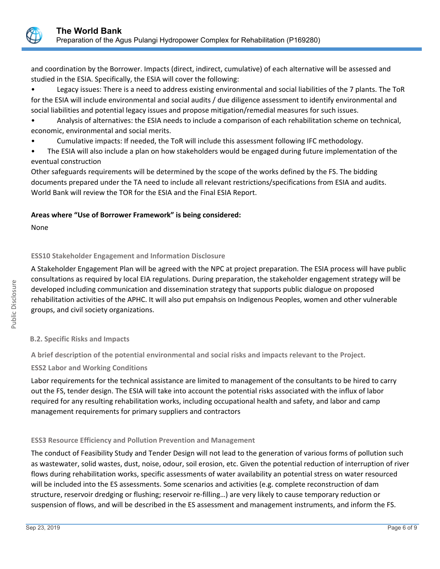

and coordination by the Borrower. Impacts (direct, indirect, cumulative) of each alternative will be assessed and studied in the ESIA. Specifically, the ESIA will cover the following:

• Legacy issues: There is a need to address existing environmental and social liabilities of the 7 plants. The ToR for the ESIA will include environmental and social audits / due diligence assessment to identify environmental and social liabilities and potential legacy issues and propose mitigation/remedial measures for such issues.

- Analysis of alternatives: the ESIA needs to include a comparison of each rehabilitation scheme on technical, economic, environmental and social merits.
- Cumulative impacts: If needed, the ToR will include this assessment following IFC methodology.
- The ESIA will also include a plan on how stakeholders would be engaged during future implementation of the eventual construction

Other safeguards requirements will be determined by the scope of the works defined by the FS. The bidding documents prepared under the TA need to include all relevant restrictions/specifications from ESIA and audits. World Bank will review the TOR for the ESIA and the Final ESIA Report.

# **Areas where "Use of Borrower Framework" is being considered:**

None

# **ESS10 Stakeholder Engagement and Information Disclosure**

A Stakeholder Engagement Plan will be agreed with the NPC at project preparation. The ESIA process will have public consultations as required by local EIA regulations. During preparation, the stakeholder engagement strategy will be developed including communication and dissemination strategy that supports public dialogue on proposed rehabilitation activities of the APHC. It will also put empahsis on Indigenous Peoples, women and other vulnerable groups, and civil society organizations.

### **B.2. Specific Risks and Impacts**

**A brief description of the potential environmental and social risks and impacts relevant to the Project.**

**ESS2 Labor and Working Conditions**

Labor requirements for the technical assistance are limited to management of the consultants to be hired to carry out the FS, tender design. The ESIA will take into account the potential risks associated with the influx of labor required for any resulting rehabilitation works, including occupational health and safety, and labor and camp management requirements for primary suppliers and contractors

### **ESS3 Resource Efficiency and Pollution Prevention and Management**

The conduct of Feasibility Study and Tender Design will not lead to the generation of various forms of pollution such as wastewater, solid wastes, dust, noise, odour, soil erosion, etc. Given the potential reduction of interruption of river flows during rehabilitation works, specific assessments of water availability an potential stress on water resourced will be included into the ES assessments. Some scenarios and activities (e.g. complete reconstruction of dam structure, reservoir dredging or flushing; reservoir re-filling…) are very likely to cause temporary reduction or suspension of flows, and will be described in the ES assessment and management instruments, and inform the FS.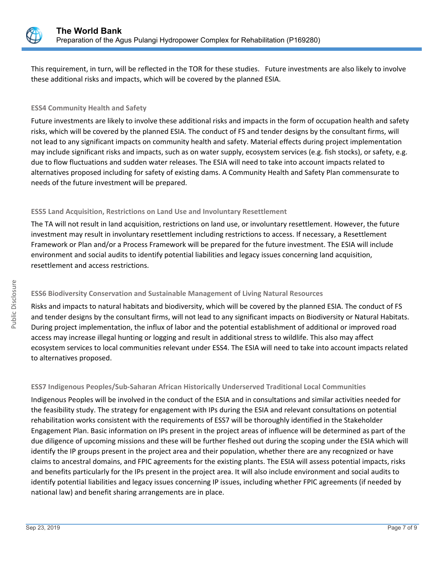

This requirement, in turn, will be reflected in the TOR for these studies. Future investments are also likely to involve these additional risks and impacts, which will be covered by the planned ESIA.

# **ESS4 Community Health and Safety**

Future investments are likely to involve these additional risks and impacts in the form of occupation health and safety risks, which will be covered by the planned ESIA. The conduct of FS and tender designs by the consultant firms, will not lead to any significant impacts on community health and safety. Material effects during project implementation may include significant risks and impacts, such as on water supply, ecosystem services (e.g. fish stocks), or safety, e.g. due to flow fluctuations and sudden water releases. The ESIA will need to take into account impacts related to alternatives proposed including for safety of existing dams. A Community Health and Safety Plan commensurate to needs of the future investment will be prepared.

# **ESS5 Land Acquisition, Restrictions on Land Use and Involuntary Resettlement**

The TA will not result in land acquisition, restrictions on land use, or involuntary resettlement. However, the future investment may result in involuntary resettlement including restrictions to access. If necessary, a Resettlement Framework or Plan and/or a Process Framework will be prepared for the future investment. The ESIA will include environment and social audits to identify potential liabilities and legacy issues concerning land acquisition, resettlement and access restrictions.

# **ESS6 Biodiversity Conservation and Sustainable Management of Living Natural Resources**

Risks and impacts to natural habitats and biodiversity, which will be covered by the planned ESIA. The conduct of FS and tender designs by the consultant firms, will not lead to any significant impacts on Biodiversity or Natural Habitats. During project implementation, the influx of labor and the potential establishment of additional or improved road access may increase illegal hunting or logging and result in additional stress to wildlife. This also may affect ecosystem services to local communities relevant under ESS4. The ESIA will need to take into account impacts related to alternatives proposed.

# **ESS7 Indigenous Peoples/Sub-Saharan African Historically Underserved Traditional Local Communities**

Indigenous Peoples will be involved in the conduct of the ESIA and in consultations and similar activities needed for the feasibility study. The strategy for engagement with IPs during the ESIA and relevant consultations on potential rehabilitation works consistent with the requirements of ESS7 will be thoroughly identified in the Stakeholder Engagement Plan. Basic information on IPs present in the project areas of influence will be determined as part of the due diligence of upcoming missions and these will be further fleshed out during the scoping under the ESIA which will identify the IP groups present in the project area and their population, whether there are any recognized or have claims to ancestral domains, and FPIC agreements for the existing plants. The ESIA will assess potential impacts, risks and benefits particularly for the IPs present in the project area. It will also include environment and social audits to identify potential liabilities and legacy issues concerning IP issues, including whether FPIC agreements (if needed by national law) and benefit sharing arrangements are in place.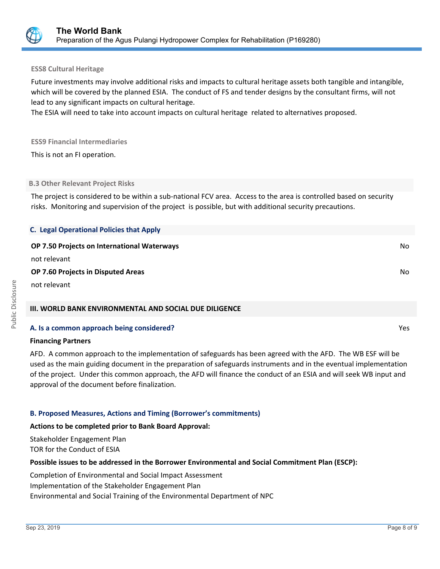

#### **ESS8 Cultural Heritage**

Future investments may involve additional risks and impacts to cultural heritage assets both tangible and intangible, which will be covered by the planned ESIA. The conduct of FS and tender designs by the consultant firms, will not lead to any significant impacts on cultural heritage.

The ESIA will need to take into account impacts on cultural heritage related to alternatives proposed.

#### **ESS9 Financial Intermediaries**

This is not an FI operation.

#### **B.3 Other Relevant Project Risks**

The project is considered to be within a sub-national FCV area. Access to the area is controlled based on security risks. Monitoring and supervision of the project is possible, but with additional security precautions.

| <b>C. Legal Operational Policies that Apply</b>    |     |
|----------------------------------------------------|-----|
| <b>OP 7.50 Projects on International Waterways</b> | No. |
| not relevant                                       |     |
| <b>OP 7.60 Projects in Disputed Areas</b>          | No  |
| not relevant                                       |     |

### **III. WORLD BANK ENVIRONMENTAL AND SOCIAL DUE DILIGENCE**

### **A. Is a common approach being considered?** Yes

#### **Financing Partners**

AFD. A common approach to the implementation of safeguards has been agreed with the AFD. The WB ESF will be used as the main guiding document in the preparation of safeguards instruments and in the eventual implementation of the project. Under this common approach, the AFD will finance the conduct of an ESIA and will seek WB input and approval of the document before finalization.

### **B. Proposed Measures, Actions and Timing (Borrower's commitments)**

#### **Actions to be completed prior to Bank Board Approval:**

Stakeholder Engagement Plan TOR for the Conduct of ESIA

### **Possible issues to be addressed in the Borrower Environmental and Social Commitment Plan (ESCP):**

Completion of Environmental and Social Impact Assessment Implementation of the Stakeholder Engagement Plan Environmental and Social Training of the Environmental Department of NPC